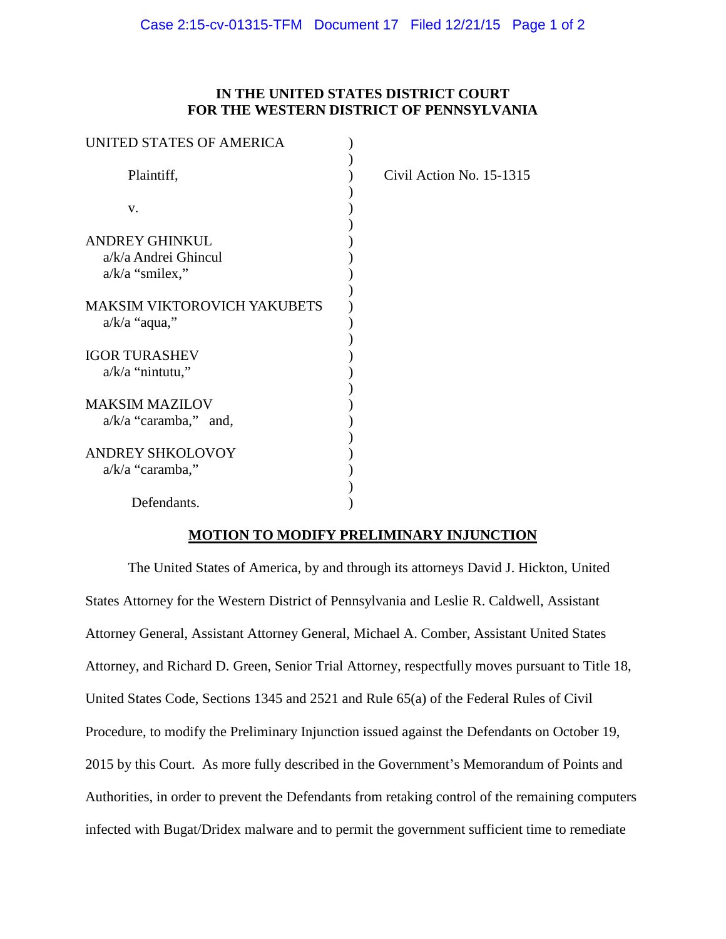| UNITED STATES OF AMERICA           |                          |
|------------------------------------|--------------------------|
| Plaintiff,                         | Civil Action No. 15-1315 |
| V.                                 |                          |
| <b>ANDREY GHINKUL</b>              |                          |
| a/k/a Andrei Ghincul               |                          |
| $a/k/a$ "smilex,"                  |                          |
| <b>MAKSIM VIKTOROVICH YAKUBETS</b> |                          |
| $a/k/a$ "aqua,"                    |                          |
| <b>IGOR TURASHEV</b>               |                          |
| $a/k/a$ "nintutu,"                 |                          |
| <b>MAKSIM MAZILOV</b>              |                          |
| $a/k/a$ "caramba," and,            |                          |
| <b>ANDREY SHKOLOVOY</b>            |                          |
| $a/k/a$ "caramba,"                 |                          |
|                                    |                          |
| Defendants.                        |                          |

## **MOTION TO MODIFY PRELIMINARY INJUNCTION**

The United States of America, by and through its attorneys David J. Hickton, United States Attorney for the Western District of Pennsylvania and Leslie R. Caldwell, Assistant Attorney General, Assistant Attorney General, Michael A. Comber, Assistant United States Attorney, and Richard D. Green, Senior Trial Attorney, respectfully moves pursuant to Title 18, United States Code, Sections 1345 and 2521 and Rule 65(a) of the Federal Rules of Civil Procedure, to modify the Preliminary Injunction issued against the Defendants on October 19, 2015 by this Court. As more fully described in the Government's Memorandum of Points and Authorities, in order to prevent the Defendants from retaking control of the remaining computers infected with Bugat/Dridex malware and to permit the government sufficient time to remediate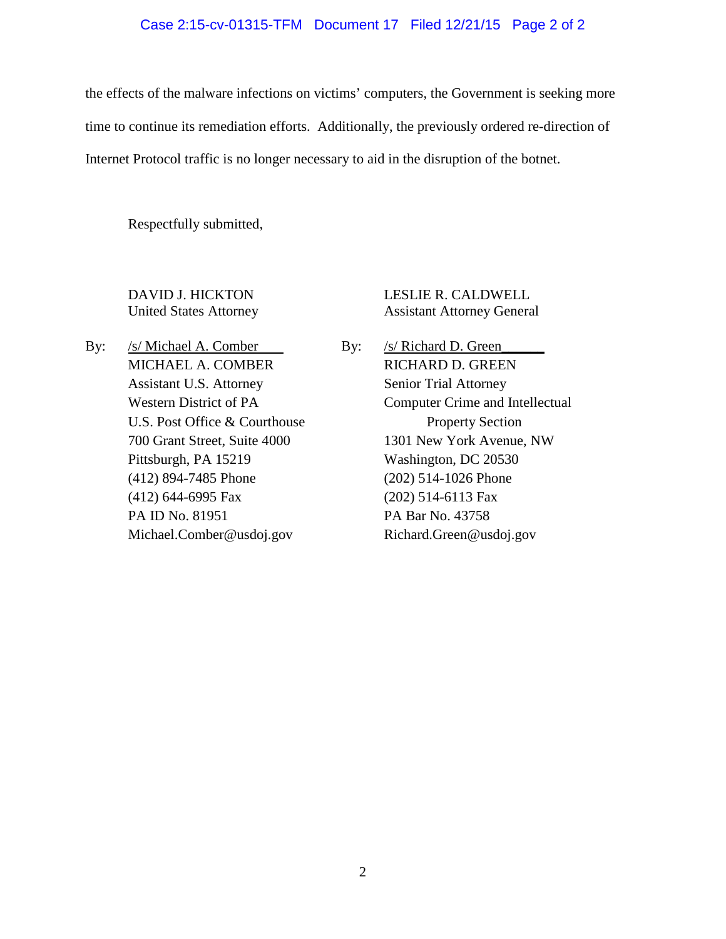#### Case 2:15-cv-01315-TFM Document 17 Filed 12/21/15 Page 2 of 2

the effects of the malware infections on victims' computers, the Government is seeking more time to continue its remediation efforts. Additionally, the previously ordered re-direction of Internet Protocol traffic is no longer necessary to aid in the disruption of the botnet.

Respectfully submitted,

DAVID J. HICKTON LESLIE R. CALDWELL United States Attorney Assistant Attorney General

By: /s/ Michael A. Comber By: /s/ Richard D. Green MICHAEL A. COMBER RICHARD D. GREEN Assistant U.S. Attorney Senior Trial Attorney U.S. Post Office & Courthouse Property Section Pittsburgh, PA 15219 Washington, DC 20530 (412) 894-7485 Phone (202) 514-1026 Phone (412) 644-6995 Fax (202) 514-6113 Fax PA ID No. 81951 PA Bar No. 43758 Michael.Comber@usdoj.gov Richard.Green@usdoj.gov

Western District of PA Computer Crime and Intellectual 700 Grant Street, Suite 4000 1301 New York Avenue, NW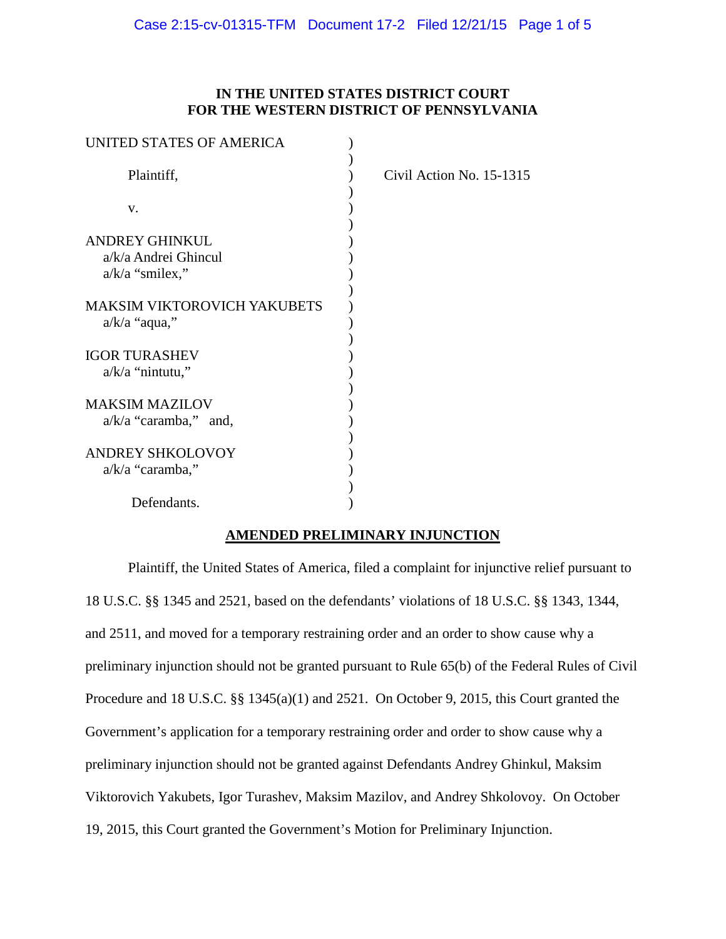| UNITED STATES OF AMERICA           |                          |
|------------------------------------|--------------------------|
| Plaintiff,                         | Civil Action No. 15-1315 |
| V.                                 |                          |
| <b>ANDREY GHINKUL</b>              |                          |
| a/k/a Andrei Ghincul               |                          |
| $a/k/a$ "smilex,"                  |                          |
| <b>MAKSIM VIKTOROVICH YAKUBETS</b> |                          |
| $a/k/a$ "aqua,"                    |                          |
| <b>IGOR TURASHEV</b>               |                          |
| $a/k/a$ "nintutu,"                 |                          |
| <b>MAKSIM MAZILOV</b>              |                          |
| $a/k/a$ "caramba," and,            |                          |
|                                    |                          |
| <b>ANDREY SHKOLOVOY</b>            |                          |
| $a/k/a$ "caramba,"                 |                          |
|                                    |                          |
| Defendants.                        |                          |

# **AMENDED PRELIMINARY INJUNCTION**

Plaintiff, the United States of America, filed a complaint for injunctive relief pursuant to 18 U.S.C. §§ 1345 and 2521, based on the defendants' violations of 18 U.S.C. §§ 1343, 1344, and 2511, and moved for a temporary restraining order and an order to show cause why a preliminary injunction should not be granted pursuant to Rule 65(b) of the Federal Rules of Civil Procedure and 18 U.S.C. §§ 1345(a)(1) and 2521. On October 9, 2015, this Court granted the Government's application for a temporary restraining order and order to show cause why a preliminary injunction should not be granted against Defendants Andrey Ghinkul, Maksim Viktorovich Yakubets, Igor Turashev, Maksim Mazilov, and Andrey Shkolovoy. On October 19, 2015, this Court granted the Government's Motion for Preliminary Injunction.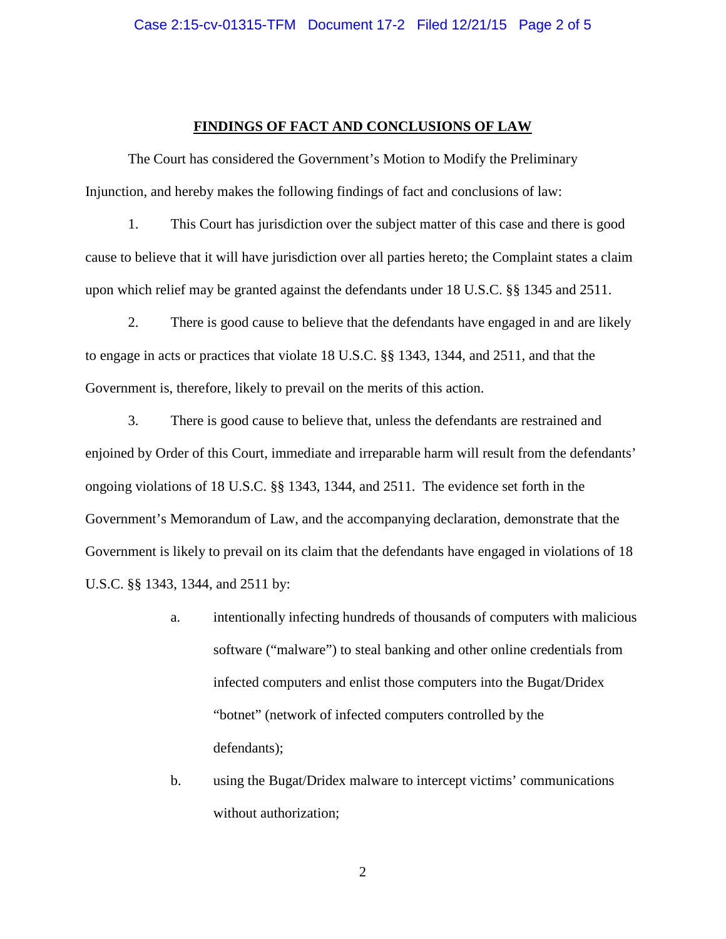#### **FINDINGS OF FACT AND CONCLUSIONS OF LAW**

The Court has considered the Government's Motion to Modify the Preliminary Injunction, and hereby makes the following findings of fact and conclusions of law:

1. This Court has jurisdiction over the subject matter of this case and there is good cause to believe that it will have jurisdiction over all parties hereto; the Complaint states a claim upon which relief may be granted against the defendants under 18 U.S.C. §§ 1345 and 2511.

2. There is good cause to believe that the defendants have engaged in and are likely to engage in acts or practices that violate 18 U.S.C. §§ 1343, 1344, and 2511, and that the Government is, therefore, likely to prevail on the merits of this action.

3. There is good cause to believe that, unless the defendants are restrained and enjoined by Order of this Court, immediate and irreparable harm will result from the defendants' ongoing violations of 18 U.S.C. §§ 1343, 1344, and 2511. The evidence set forth in the Government's Memorandum of Law, and the accompanying declaration, demonstrate that the Government is likely to prevail on its claim that the defendants have engaged in violations of 18 U.S.C. §§ 1343, 1344, and 2511 by:

- a. intentionally infecting hundreds of thousands of computers with malicious software ("malware") to steal banking and other online credentials from infected computers and enlist those computers into the Bugat/Dridex "botnet" (network of infected computers controlled by the defendants);
- b. using the Bugat/Dridex malware to intercept victims' communications without authorization;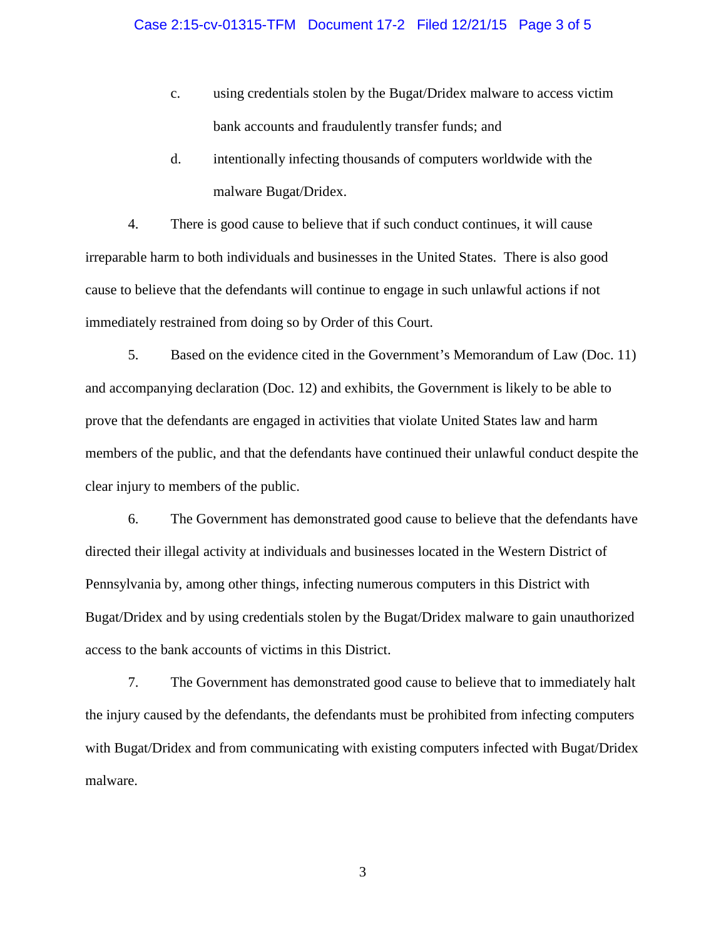- c. using credentials stolen by the Bugat/Dridex malware to access victim bank accounts and fraudulently transfer funds; and
- d. intentionally infecting thousands of computers worldwide with the malware Bugat/Dridex.

4. There is good cause to believe that if such conduct continues, it will cause irreparable harm to both individuals and businesses in the United States. There is also good cause to believe that the defendants will continue to engage in such unlawful actions if not immediately restrained from doing so by Order of this Court.

5. Based on the evidence cited in the Government's Memorandum of Law (Doc. 11) and accompanying declaration (Doc. 12) and exhibits, the Government is likely to be able to prove that the defendants are engaged in activities that violate United States law and harm members of the public, and that the defendants have continued their unlawful conduct despite the clear injury to members of the public.

6. The Government has demonstrated good cause to believe that the defendants have directed their illegal activity at individuals and businesses located in the Western District of Pennsylvania by, among other things, infecting numerous computers in this District with Bugat/Dridex and by using credentials stolen by the Bugat/Dridex malware to gain unauthorized access to the bank accounts of victims in this District.

7. The Government has demonstrated good cause to believe that to immediately halt the injury caused by the defendants, the defendants must be prohibited from infecting computers with Bugat/Dridex and from communicating with existing computers infected with Bugat/Dridex malware.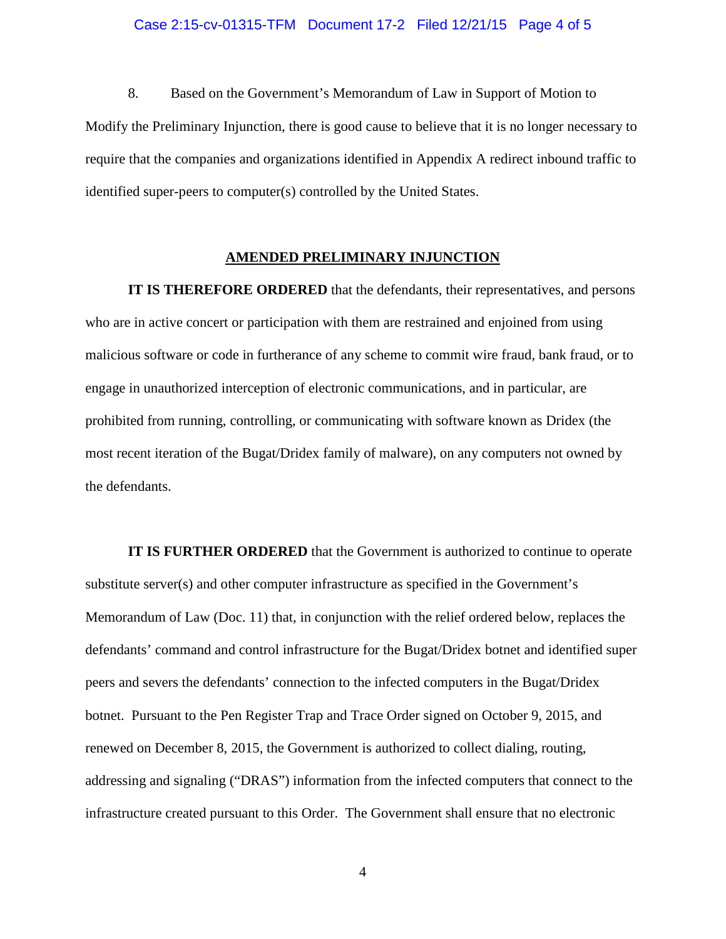#### Case 2:15-cv-01315-TFM Document 17-2 Filed 12/21/15 Page 4 of 5

8. Based on the Government's Memorandum of Law in Support of Motion to Modify the Preliminary Injunction, there is good cause to believe that it is no longer necessary to require that the companies and organizations identified in Appendix A redirect inbound traffic to identified super-peers to computer(s) controlled by the United States.

#### **AMENDED PRELIMINARY INJUNCTION**

**IT IS THEREFORE ORDERED** that the defendants, their representatives, and persons who are in active concert or participation with them are restrained and enjoined from using malicious software or code in furtherance of any scheme to commit wire fraud, bank fraud, or to engage in unauthorized interception of electronic communications, and in particular, are prohibited from running, controlling, or communicating with software known as Dridex (the most recent iteration of the Bugat/Dridex family of malware), on any computers not owned by the defendants.

**IT IS FURTHER ORDERED** that the Government is authorized to continue to operate substitute server(s) and other computer infrastructure as specified in the Government's Memorandum of Law (Doc. 11) that, in conjunction with the relief ordered below, replaces the defendants' command and control infrastructure for the Bugat/Dridex botnet and identified super peers and severs the defendants' connection to the infected computers in the Bugat/Dridex botnet. Pursuant to the Pen Register Trap and Trace Order signed on October 9, 2015, and renewed on December 8, 2015, the Government is authorized to collect dialing, routing, addressing and signaling ("DRAS") information from the infected computers that connect to the infrastructure created pursuant to this Order. The Government shall ensure that no electronic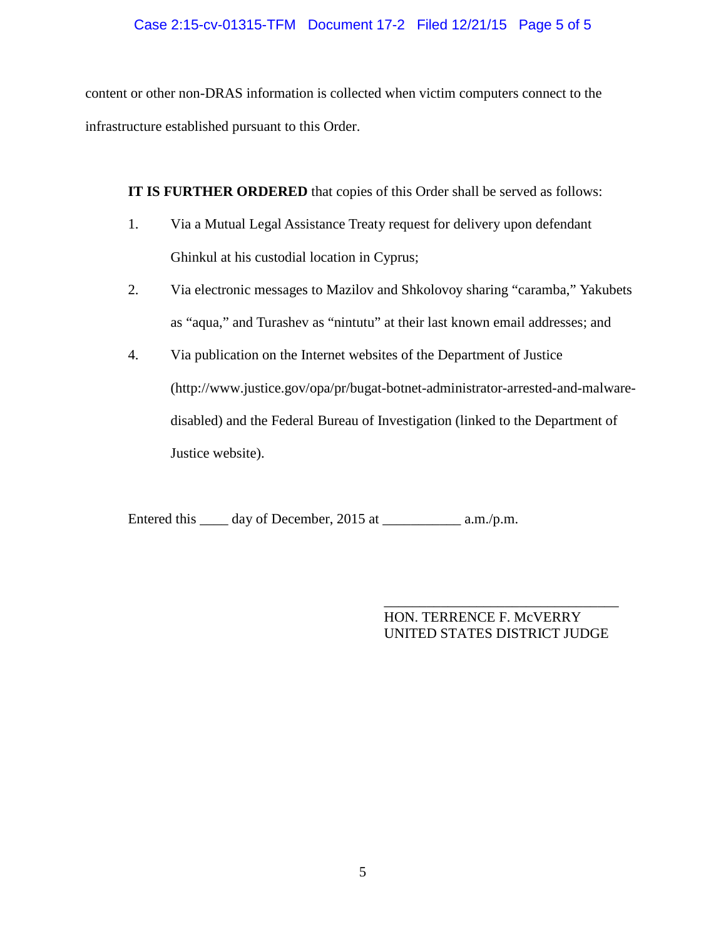# Case 2:15-cv-01315-TFM Document 17-2 Filed 12/21/15 Page 5 of 5

content or other non-DRAS information is collected when victim computers connect to the infrastructure established pursuant to this Order.

**IT IS FURTHER ORDERED** that copies of this Order shall be served as follows:

- 1. Via a Mutual Legal Assistance Treaty request for delivery upon defendant Ghinkul at his custodial location in Cyprus;
- 2. Via electronic messages to Mazilov and Shkolovoy sharing "caramba," Yakubets as "aqua," and Turashev as "nintutu" at their last known email addresses; and
- 4. Via publication on the Internet websites of the Department of Justice (http://www.justice.gov/opa/pr/bugat-botnet-administrator-arrested-and-malwaredisabled) and the Federal Bureau of Investigation (linked to the Department of Justice website).

Entered this \_\_\_\_ day of December, 2015 at \_\_\_\_\_\_\_\_\_\_\_\_ a.m./p.m.

\_\_\_\_\_\_\_\_\_\_\_\_\_\_\_\_\_\_\_\_\_\_\_\_\_\_\_\_\_\_\_\_\_ HON. TERRENCE F. McVERRY UNITED STATES DISTRICT JUDGE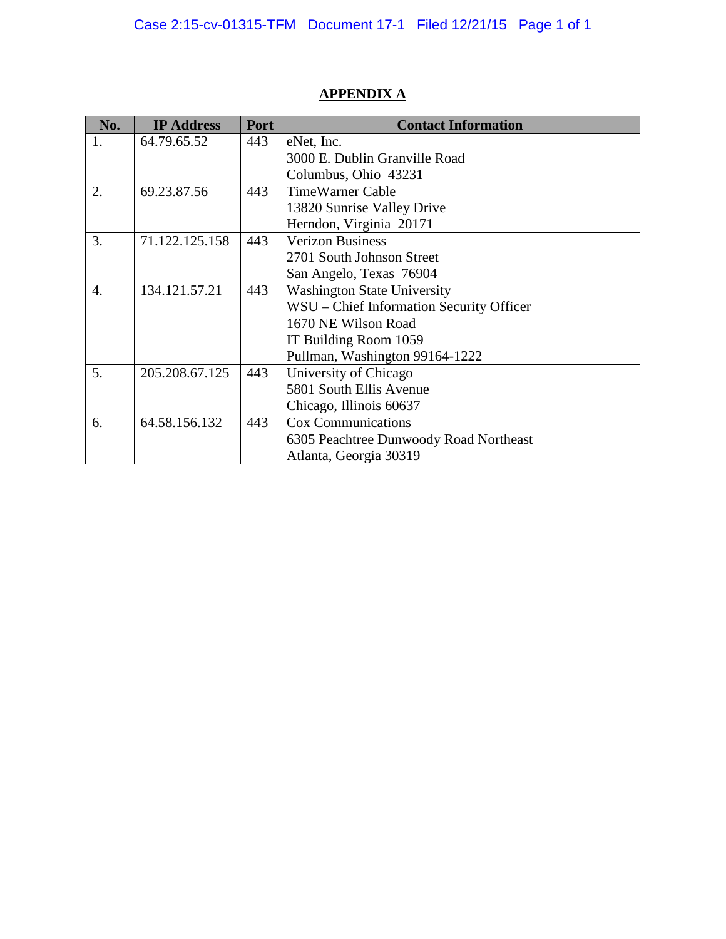| No. | <b>IP Address</b> | Port | <b>Contact Information</b>               |
|-----|-------------------|------|------------------------------------------|
| 1.  | 64.79.65.52       | 443  | eNet, Inc.                               |
|     |                   |      | 3000 E. Dublin Granville Road            |
|     |                   |      | Columbus, Ohio 43231                     |
| 2.  | 69.23.87.56       | 443  | <b>TimeWarner Cable</b>                  |
|     |                   |      | 13820 Sunrise Valley Drive               |
|     |                   |      | Herndon, Virginia 20171                  |
| 3.  | 71.122.125.158    | 443  | <b>Verizon Business</b>                  |
|     |                   |      | 2701 South Johnson Street                |
|     |                   |      | San Angelo, Texas 76904                  |
| 4.  | 134.121.57.21     | 443  | <b>Washington State University</b>       |
|     |                   |      | WSU – Chief Information Security Officer |
|     |                   |      | 1670 NE Wilson Road                      |
|     |                   |      | IT Building Room 1059                    |
|     |                   |      | Pullman, Washington 99164-1222           |
| 5.  | 205.208.67.125    | 443  | University of Chicago                    |
|     |                   |      | 5801 South Ellis Avenue                  |
|     |                   |      | Chicago, Illinois 60637                  |
| 6.  | 64.58.156.132     | 443  | <b>Cox Communications</b>                |
|     |                   |      | 6305 Peachtree Dunwoody Road Northeast   |
|     |                   |      | Atlanta, Georgia 30319                   |

# **APPENDIX A**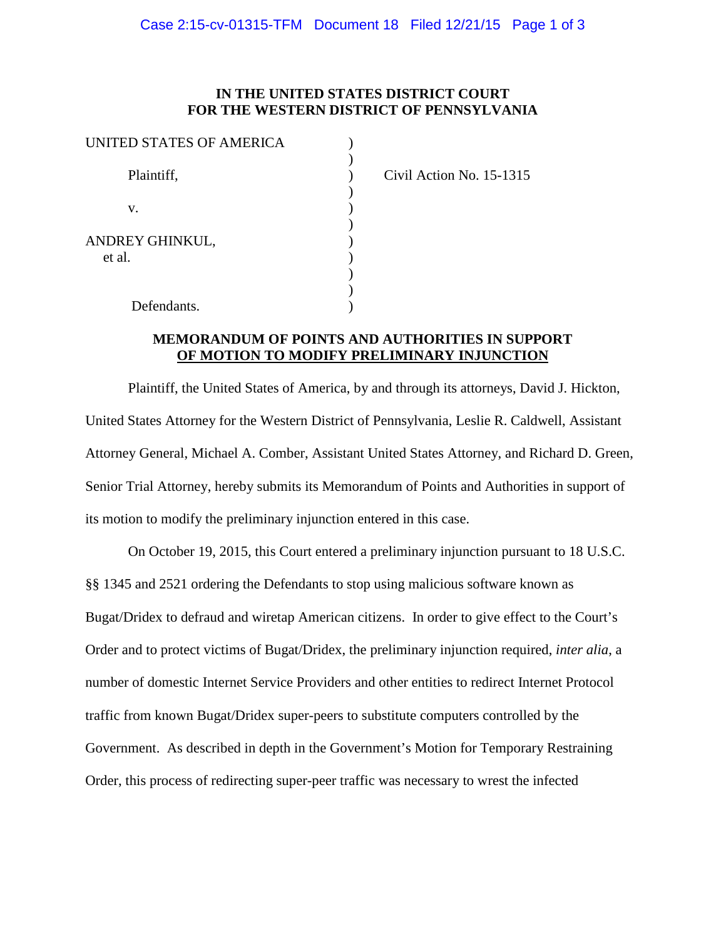| UNITED STATES OF AMERICA  |  |
|---------------------------|--|
| Plaintiff,                |  |
| V.                        |  |
| ANDREY GHINKUL,<br>et al. |  |
| Defendants.               |  |

Civil Action No. 15-1315

# **MEMORANDUM OF POINTS AND AUTHORITIES IN SUPPORT OF MOTION TO MODIFY PRELIMINARY INJUNCTION**

Plaintiff, the United States of America, by and through its attorneys, David J. Hickton, United States Attorney for the Western District of Pennsylvania, Leslie R. Caldwell, Assistant Attorney General, Michael A. Comber, Assistant United States Attorney, and Richard D. Green, Senior Trial Attorney, hereby submits its Memorandum of Points and Authorities in support of its motion to modify the preliminary injunction entered in this case.

On October 19, 2015, this Court entered a preliminary injunction pursuant to 18 U.S.C. §§ 1345 and 2521 ordering the Defendants to stop using malicious software known as Bugat/Dridex to defraud and wiretap American citizens. In order to give effect to the Court's Order and to protect victims of Bugat/Dridex, the preliminary injunction required, *inter alia*, a number of domestic Internet Service Providers and other entities to redirect Internet Protocol traffic from known Bugat/Dridex super-peers to substitute computers controlled by the Government. As described in depth in the Government's Motion for Temporary Restraining Order, this process of redirecting super-peer traffic was necessary to wrest the infected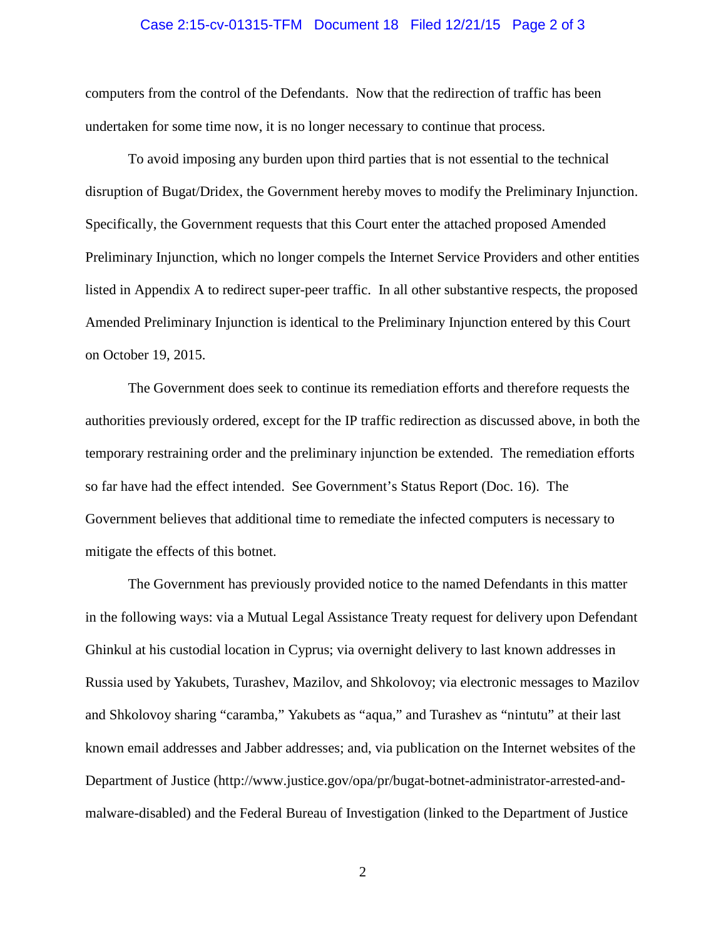# Case 2:15-cv-01315-TFM Document 18 Filed 12/21/15 Page 2 of 3

computers from the control of the Defendants. Now that the redirection of traffic has been undertaken for some time now, it is no longer necessary to continue that process.

To avoid imposing any burden upon third parties that is not essential to the technical disruption of Bugat/Dridex, the Government hereby moves to modify the Preliminary Injunction. Specifically, the Government requests that this Court enter the attached proposed Amended Preliminary Injunction, which no longer compels the Internet Service Providers and other entities listed in Appendix A to redirect super-peer traffic. In all other substantive respects, the proposed Amended Preliminary Injunction is identical to the Preliminary Injunction entered by this Court on October 19, 2015.

The Government does seek to continue its remediation efforts and therefore requests the authorities previously ordered, except for the IP traffic redirection as discussed above, in both the temporary restraining order and the preliminary injunction be extended. The remediation efforts so far have had the effect intended. See Government's Status Report (Doc. 16). The Government believes that additional time to remediate the infected computers is necessary to mitigate the effects of this botnet.

The Government has previously provided notice to the named Defendants in this matter in the following ways: via a Mutual Legal Assistance Treaty request for delivery upon Defendant Ghinkul at his custodial location in Cyprus; via overnight delivery to last known addresses in Russia used by Yakubets, Turashev, Mazilov, and Shkolovoy; via electronic messages to Mazilov and Shkolovoy sharing "caramba," Yakubets as "aqua," and Turashev as "nintutu" at their last known email addresses and Jabber addresses; and, via publication on the Internet websites of the Department of Justice (http://www.justice.gov/opa/pr/bugat-botnet-administrator-arrested-andmalware-disabled) and the Federal Bureau of Investigation (linked to the Department of Justice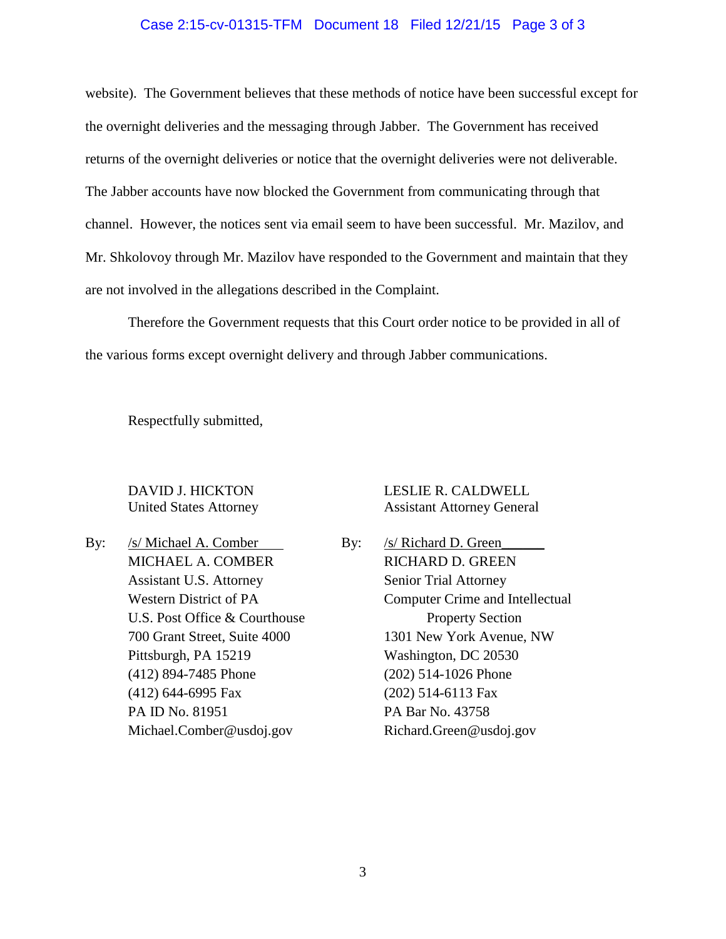#### Case 2:15-cv-01315-TFM Document 18 Filed 12/21/15 Page 3 of 3

website). The Government believes that these methods of notice have been successful except for the overnight deliveries and the messaging through Jabber. The Government has received returns of the overnight deliveries or notice that the overnight deliveries were not deliverable. The Jabber accounts have now blocked the Government from communicating through that channel. However, the notices sent via email seem to have been successful. Mr. Mazilov, and Mr. Shkolovoy through Mr. Mazilov have responded to the Government and maintain that they are not involved in the allegations described in the Complaint.

Therefore the Government requests that this Court order notice to be provided in all of the various forms except overnight delivery and through Jabber communications.

Respectfully submitted,

By: /s/ Michael A. Comber By: /s/ Richard D. Green MICHAEL A. COMBER RICHARD D. GREEN Assistant U.S. Attorney Senior Trial Attorney U.S. Post Office & Courthouse Property Section Pittsburgh, PA 15219 Washington, DC 20530 (412) 894-7485 Phone (202) 514-1026 Phone (412) 644-6995 Fax (202) 514-6113 Fax PA ID No. 81951 PA Bar No. 43758

# DAVID J. HICKTON LESLIE R. CALDWELL United States Attorney Assistant Attorney General

Western District of PA Computer Crime and Intellectual 700 Grant Street, Suite 4000 1301 New York Avenue, NW Michael.Comber@usdoj.gov Richard.Green@usdoj.gov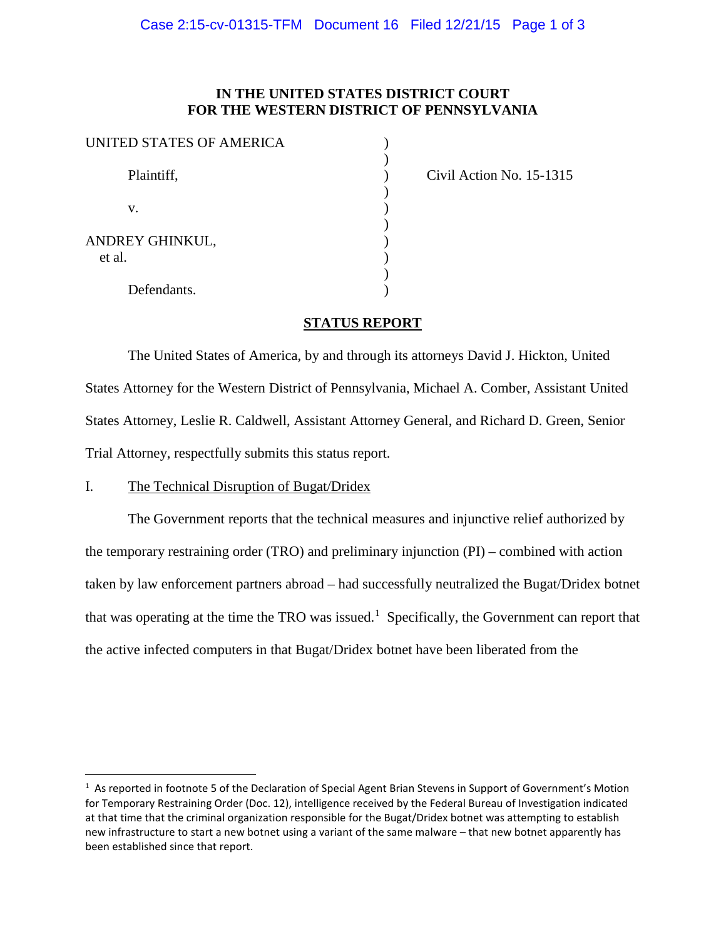| UNITED STATES OF AMERICA  |  |
|---------------------------|--|
| Plaintiff,                |  |
| v.                        |  |
| ANDREY GHINKUL,<br>et al. |  |
| Defendants.               |  |

Civil Action No. 15-1315

## **STATUS REPORT**

The United States of America, by and through its attorneys David J. Hickton, United States Attorney for the Western District of Pennsylvania, Michael A. Comber, Assistant United States Attorney, Leslie R. Caldwell, Assistant Attorney General, and Richard D. Green, Senior Trial Attorney, respectfully submits this status report.

#### I. The Technical Disruption of Bugat/Dridex

The Government reports that the technical measures and injunctive relief authorized by the temporary restraining order (TRO) and preliminary injunction (PI) – combined with action taken by law enforcement partners abroad – had successfully neutralized the Bugat/Dridex botnet that was operating at the time the TRO was issued.<sup>[1](#page-11-0)</sup> Specifically, the Government can report that the active infected computers in that Bugat/Dridex botnet have been liberated from the

<span id="page-11-0"></span> $\frac{1}{1}$  $1$  As reported in footnote 5 of the Declaration of Special Agent Brian Stevens in Support of Government's Motion for Temporary Restraining Order (Doc. 12), intelligence received by the Federal Bureau of Investigation indicated at that time that the criminal organization responsible for the Bugat/Dridex botnet was attempting to establish new infrastructure to start a new botnet using a variant of the same malware – that new botnet apparently has been established since that report.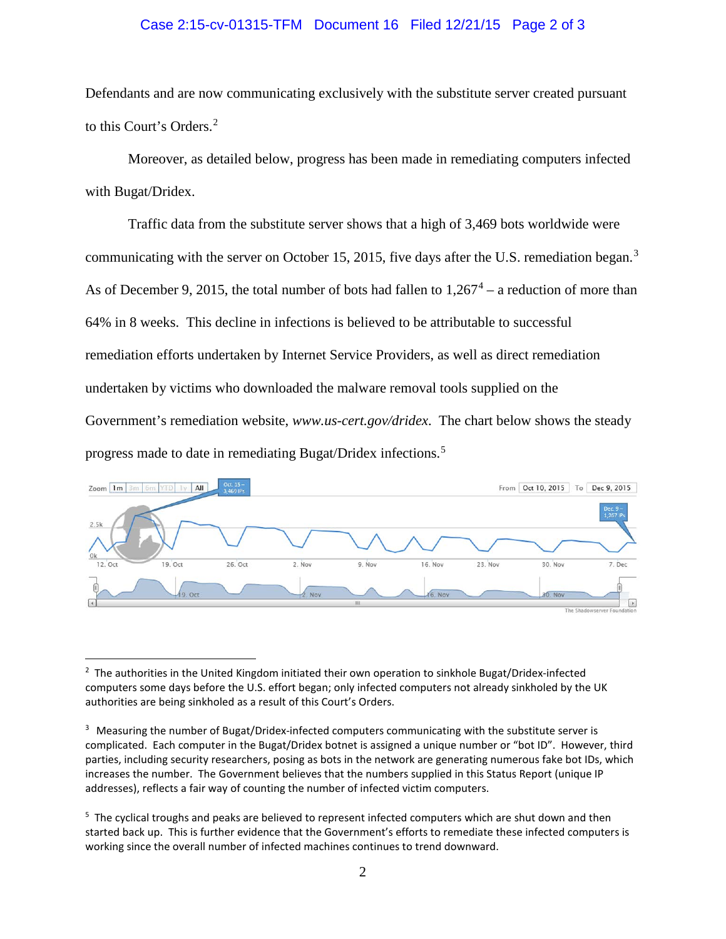#### Case 2:15-cv-01315-TFM Document 16 Filed 12/21/15 Page 2 of 3

Defendants and are now communicating exclusively with the substitute server created pursuant to this Court's Orders. [2](#page-12-0)

Moreover, as detailed below, progress has been made in remediating computers infected with Bugat/Dridex.

Traffic data from the substitute server shows that a high of 3,469 bots worldwide were communicating with the server on October 15, 2015, five days after the U.S. remediation began.<sup>[3](#page-12-1)</sup> As of December 9, 2015, the total number of bots had fallen to  $1,267<sup>4</sup> - a$  $1,267<sup>4</sup> - a$  $1,267<sup>4</sup> - a$  reduction of more than 64% in 8 weeks. This decline in infections is believed to be attributable to successful remediation efforts undertaken by Internet Service Providers, as well as direct remediation undertaken by victims who downloaded the malware removal tools supplied on the Government's remediation website, *www.us-cert.gov/dridex*. The chart below shows the steady progress made to date in remediating Bugat/Dridex infections.[5](#page-12-3)



<span id="page-12-0"></span> $\overline{2}$ <sup>2</sup> The authorities in the United Kingdom initiated their own operation to sinkhole Bugat/Dridex-infected computers some days before the U.S. effort began; only infected computers not already sinkholed by the UK authorities are being sinkholed as a result of this Court's Orders.

<span id="page-12-1"></span><sup>&</sup>lt;sup>3</sup> Measuring the number of Bugat/Dridex-infected computers communicating with the substitute server is complicated. Each computer in the Bugat/Dridex botnet is assigned a unique number or "bot ID". However, third parties, including security researchers, posing as bots in the network are generating numerous fake bot IDs, which increases the number. The Government believes that the numbers supplied in this Status Report (unique IP addresses), reflects a fair way of counting the number of infected victim computers.

<span id="page-12-3"></span><span id="page-12-2"></span> $<sup>5</sup>$  The cyclical troughs and peaks are believed to represent infected computers which are shut down and then</sup> started back up. This is further evidence that the Government's efforts to remediate these infected computers is working since the overall number of infected machines continues to trend downward.